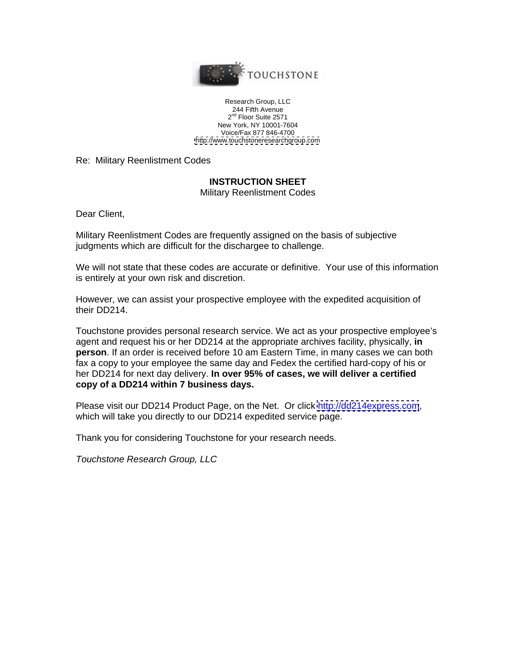

Research Group, LLC 244 Fifth Avenue  $2^{\sf no}$  Floor Suite 2571  $\blacksquare$ nd Floor Suite 2571 and the state of the state of the state of the state of the state of the state of the state of the state of the state of the state of the state of the state of the state of the state of the state of the New York, NY 10001-7604 Voice/Fax 877 846-4700 <http://www.touchstoneresearchgroup.com>

Re: Military Reenlistment Codes

## **INSTRUCTION SHEET**

Military Reenlistment Codes

Dear Client,

Military Reenlistment Codes are frequently assigned on the basis of subjective judgments which are difficult for the dischargee to challenge.

We will not state that these codes are accurate or definitive. Your use of this information is entirely at your own risk and discretion.

However, we can assist your prospective employee with the expedited acquisition of their DD214.

Touchstone provides personal research service. We act as your prospective employee's agent and request his or her DD214 at the appropriate archives facility, physically, **in person**. If an order is received before 10 am Eastern Time, in many cases we can both fax a copy to your employee the same day and Fedex the certified hard-copy of his or her DD214 for next day delivery. **In over 95% of cases, we will deliver a certified copy of a DD214 within 7 business days.**

Please visit our DD214 Product Page, on the Net. Or click<http://dd214express.com>, which will take you directly to our DD214 expedited service page.

Thank you for considering Touchstone for your research needs.

Touchstone Research Group, LLC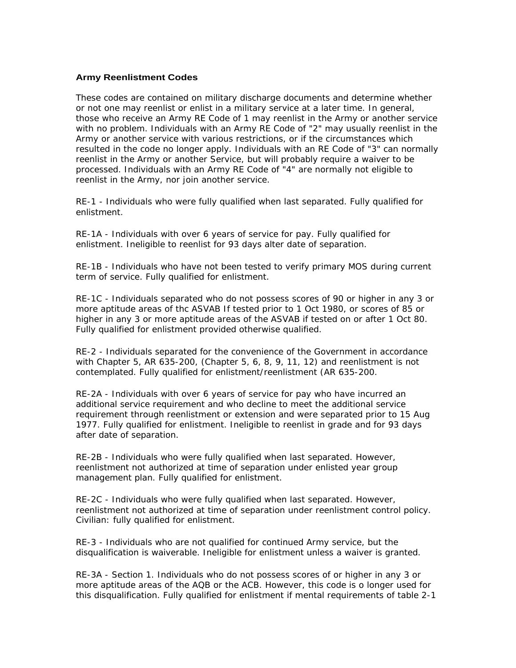## **Army Reenlistment Codes**

These codes are contained on military discharge documents and determine whether or not one may reenlist or enlist in a military service at a later time. In general, those who receive an Army RE Code of 1 may reenlist in the Army or another service with no problem. Individuals with an Army RE Code of "2" may usually reenlist in the Army or another service with various restrictions, or if the circumstances which resulted in the code no longer apply. Individuals with an RE Code of "3" can normally reenlist in the Army or another Service, but will probably require a waiver to be processed. Individuals with an Army RE Code of "4" are normally not eligible to reenlist in the Army, nor join another service.

RE-1 - Individuals who were fully qualified when last separated. Fully qualified for enlistment.

RE-1A - Individuals with over 6 years of service for pay. Fully qualified for enlistment. Ineligible to reenlist for 93 days alter date of separation.

RE-1B - Individuals who have not been tested to verify primary MOS during current term of service. Fully qualified for enlistment.

RE-1C - Individuals separated who do not possess scores of 90 or higher in any 3 or more aptitude areas of thc ASVAB If tested prior to 1 Oct 1980, or scores of 85 or higher in any 3 or more aptitude areas of the ASVAB if tested on or after 1 Oct 80. Fully qualified for enlistment provided otherwise qualified.

RE-2 - Individuals separated for the convenience of the Government in accordance with Chapter 5, AR 635-200, (Chapter 5, 6, 8, 9, 11, 12) and reenlistment is not contemplated. Fully qualified for enlistment/reenlistment (AR 635-200.

RE-2A - Individuals with over 6 years of service for pay who have incurred an additional service requirement and who decline to meet the additional service requirement through reenlistment or extension and were separated prior to 15 Aug 1977. Fully qualified for enlistment. Ineligible to reenlist in grade and for 93 days after date of separation.

RE-2B - Individuals who were fully qualified when last separated. However, reenlistment not authorized at time of separation under enlisted year group management plan. Fully qualified for enlistment.

RE-2C - Individuals who were fully qualified when last separated. However, reenlistment not authorized at time of separation under reenlistment control policy. Civilian: fully qualified for enlistment.

RE-3 - Individuals who are not qualified for continued Army service, but the disqualification is waiverable. Ineligible for enlistment unless a waiver is granted.

RE-3A - Section 1. Individuals who do not possess scores of or higher in any 3 or more aptitude areas of the AQB or the ACB. However, this code is o longer used for this disqualification. Fully qualified for enlistment if mental requirements of table 2-1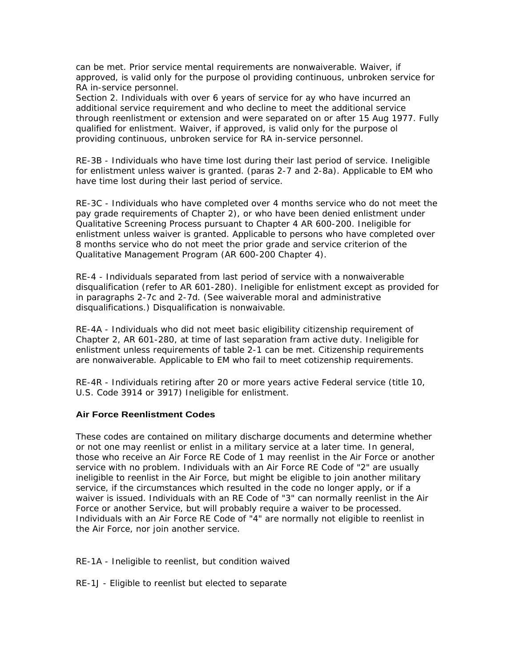can be met. Prior service mental requirements are nonwaiverable. Waiver, if approved, is valid only for the purpose ol providing continuous, unbroken service for RA in-service personnel.

Section 2. Individuals with over 6 years of service for ay who have incurred an additional service requirement and who decline to meet the additional service through reenlistment or extension and were separated on or after 15 Aug 1977. Fully qualified for enlistment. Waiver, if approved, is valid only for the purpose ol providing continuous, unbroken service for RA in-service personnel.

RE-3B - Individuals who have time lost during their last period of service. Ineligible for enlistment unless waiver is granted. (paras 2-7 and 2-8a). Applicable to EM who have time lost during their last period of service.

RE-3C - Individuals who have completed over 4 months service who do not meet the pay grade requirements of Chapter 2), or who have been denied enlistment under Qualitative Screening Process pursuant to Chapter 4 AR 600-200. Ineligible for enlistment unless waiver is granted. Applicable to persons who have completed over 8 months service who do not meet the prior grade and service criterion of the Qualitative Management Program (AR 600-200 Chapter 4).

RE-4 - Individuals separated from last period of service with a nonwaiverable disqualification (refer to AR 601-280). Ineligible for enlistment except as provided for in paragraphs 2-7c and 2-7d. (See waiverable moral and administrative disqualifications.) Disqualification is nonwaivable.

RE-4A - Individuals who did not meet basic eligibility citizenship requirement of Chapter 2, AR 601-280, at time of last separation fram active duty. Ineligible for enlistment unless requirements of table 2-1 can be met. Citizenship requirements are nonwaiverable. Applicable to EM who fail to meet cotizenship requirements.

RE-4R - Individuals retiring after 20 or more years active Federal service (title 10, U.S. Code 3914 or 3917) Ineligible for enlistment.

## **Air Force Reenlistment Codes**

These codes are contained on military discharge documents and determine whether or not one may reenlist or enlist in a military service at a later time. In general, those who receive an Air Force RE Code of 1 may reenlist in the Air Force or another service with no problem. Individuals with an Air Force RE Code of "2" are usually ineligible to reenlist in the Air Force, but might be eligible to join another military service, if the circumstances which resulted in the code no longer apply, or if a waiver is issued. Individuals with an RE Code of "3" can normally reenlist in the Air Force or another Service, but will probably require a waiver to be processed. Individuals with an Air Force RE Code of "4" are normally not eligible to reenlist in the Air Force, nor join another service.

RE-1A - Ineligible to reenlist, but condition waived

RE-1J - Eligible to reenlist but elected to separate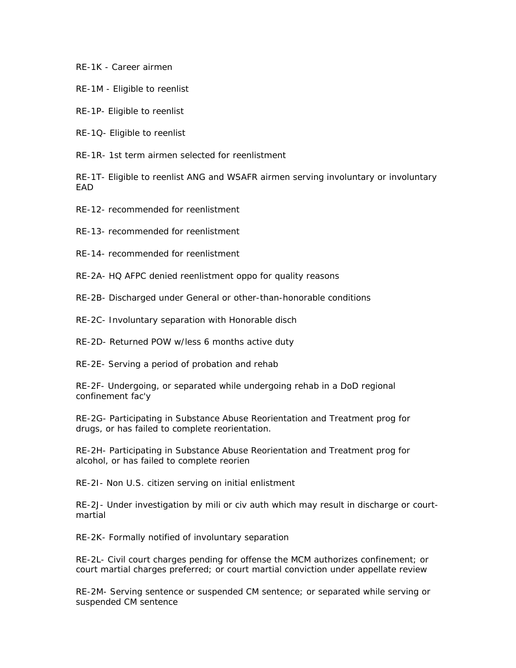RE-1K - Career airmen

RE-1M - Eligible to reenlist

RE-1P- Eligible to reenlist

RE-1Q- Eligible to reenlist

RE-1R- 1st term airmen selected for reenlistment

RE-1T- Eligible to reenlist ANG and WSAFR airmen serving involuntary or involuntary experiment to the contract of the contract of the contract of the contract of the contract of the contract of the contract of the contract of the contract of the contract of the contract of the contract of the contract of

RE-12- recommended for reenlistment

RE-13- recommended for reenlistment

RE-14- recommended for reenlistment

RE-2A- HQ AFPC denied reenlistment oppo for quality reasons

RE-2B- Discharged under General or other-than-honorable conditions

RE-2C- Involuntary separation with Honorable disch

RE-2D- Returned POW w/less 6 months active duty

RE-2E- Serving a period of probation and rehab

RE-2F- Undergoing, or separated while undergoing rehab in a DoD regional confinement fac'y

RE-2G- Participating in Substance Abuse Reorientation and Treatment prog for drugs, or has failed to complete reorientation.

RE-2H- Participating in Substance Abuse Reorientation and Treatment prog for alcohol, or has failed to complete reorien

RE-2I- Non U.S. citizen serving on initial enlistment

RE-2J- Under investigation by mili or civ auth which may result in discharge or court martial

RE-2K- Formally notified of involuntary separation

RE-2L- Civil court charges pending for offense the MCM authorizes confinement; or court martial charges preferred; or court martial conviction under appellate review

RE-2M- Serving sentence or suspended CM sentence; or separated while serving or suspended CM sentence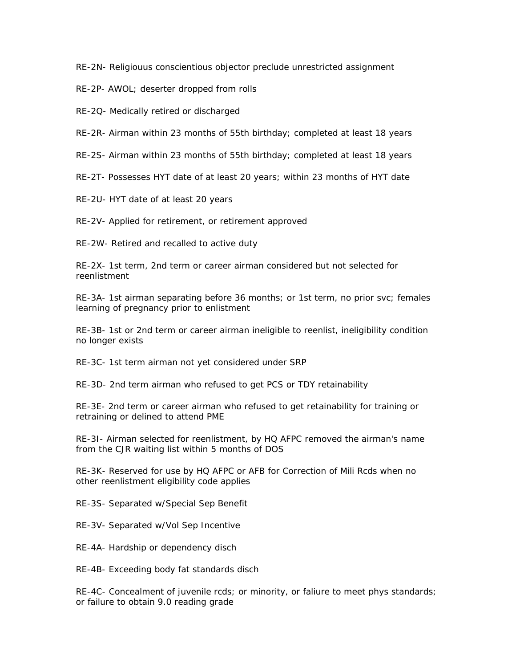RE-2N- Religiouus conscientious objector preclude unrestricted assignment

RE-2P- AWOL; deserter dropped from rolls

RE-2Q- Medically retired or discharged

RE-2R- Airman within 23 months of 55th birthday; completed at least 18 years

RE-2S- Airman within 23 months of 55th birthday; completed at least 18 years

RE-2T- Possesses HYT date of at least 20 years; within 23 months of HYT date

RE-2U- HYT date of at least 20 years

RE-2V- Applied for retirement, or retirement approved

RE-2W- Retired and recalled to active duty

RE-2X- 1st term, 2nd term or career airman considered but not selected for reenlistment

RE-3A- 1st airman separating before 36 months; or 1st term, no prior svc; females learning of pregnancy prior to enlistment

RE-3B- 1st or 2nd term or career airman ineligible to reenlist, ineligibility condition no longer exists

RE-3C- 1st term airman not yet considered under SRP

RE-3D- 2nd term airman who refused to get PCS or TDY retainability

RE-3E- 2nd term or career airman who refused to get retainability for training or retraining or delined to attend PME

RE-3I- Airman selected for reenlistment, by HQ AFPC removed the airman's name from the CJR waiting list within 5 months of DOS

RE-3K- Reserved for use by HQ AFPC or AFB for Correction of Mili Rcds when no other reenlistment eligibility code applies

RE-3S- Separated w/Special Sep Benefit

RE-3V- Separated w/Vol Sep Incentive

RE-4A- Hardship or dependency disch

RE-4B- Exceeding body fat standards disch

RE-4C- Concealment of juvenile rcds; or minority, or faliure to meet phys standards; or failure to obtain 9.0 reading grade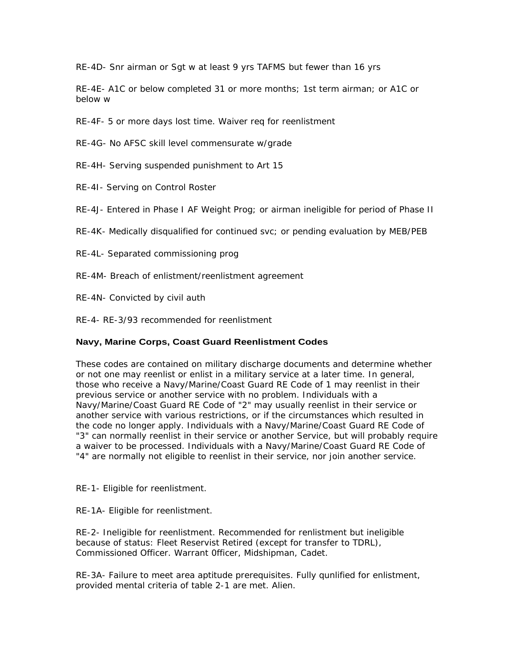RE-4D- Snr airman or Sgt w at least 9 yrs TAFMS but fewer than 16 yrs

RE-4E- A1C or below completed 31 or more months; 1st term airman; or A1C or below w

RE-4F- 5 or more days lost time. Waiver req for reenlistment

RE-4G- No AFSC skill level commensurate w/grade

RE-4H- Serving suspended punishment to Art 15

RE-4I- Serving on Control Roster

RE-4J- Entered in Phase I AF Weight Prog; or airman ineligible for period of Phase II

RE-4K- Medically disqualified for continued svc; or pending evaluation by MEB/PEB

RE-4L- Separated commissioning prog

RE-4M- Breach of enlistment/reenlistment agreement

RE-4N- Convicted by civil auth

RE-4- RE-3/93 recommended for reenlistment

## **Navy, Marine Corps, Coast Guard Reenlistment Codes**

These codes are contained on military discharge documents and determine whether or not one may reenlist or enlist in a military service at a later time. In general, those who receive a Navy/Marine/Coast Guard RE Code of 1 may reenlist in their previous service or another service with no problem. Individuals with a Navy/Marine/Coast Guard RE Code of "2" may usually reenlist in their service or another service with various restrictions, or if the circumstances which resulted in the code no longer apply. Individuals with a Navy/Marine/Coast Guard RE Code of "3" can normally reenlist in their service or another Service, but will probably require a waiver to be processed. Individuals with a Navy/Marine/Coast Guard RE Code of "4" are normally not eligible to reenlist in their service, nor join another service.

RE-1- Eligible for reenlistment.

RE-1A- Eligible for reenlistment.

RE-2- Ineligible for reenlistment. Recommended for renlistment but ineligible because of status: Fleet Reservist Retired (except for transfer to TDRL), Commissioned Officer. Warrant 0fficer, Midshipman, Cadet.

RE-3A- Failure to meet area aptitude prerequisites. Fully qunlified for enlistment, provided mental criteria of table 2-1 are met. Alien.